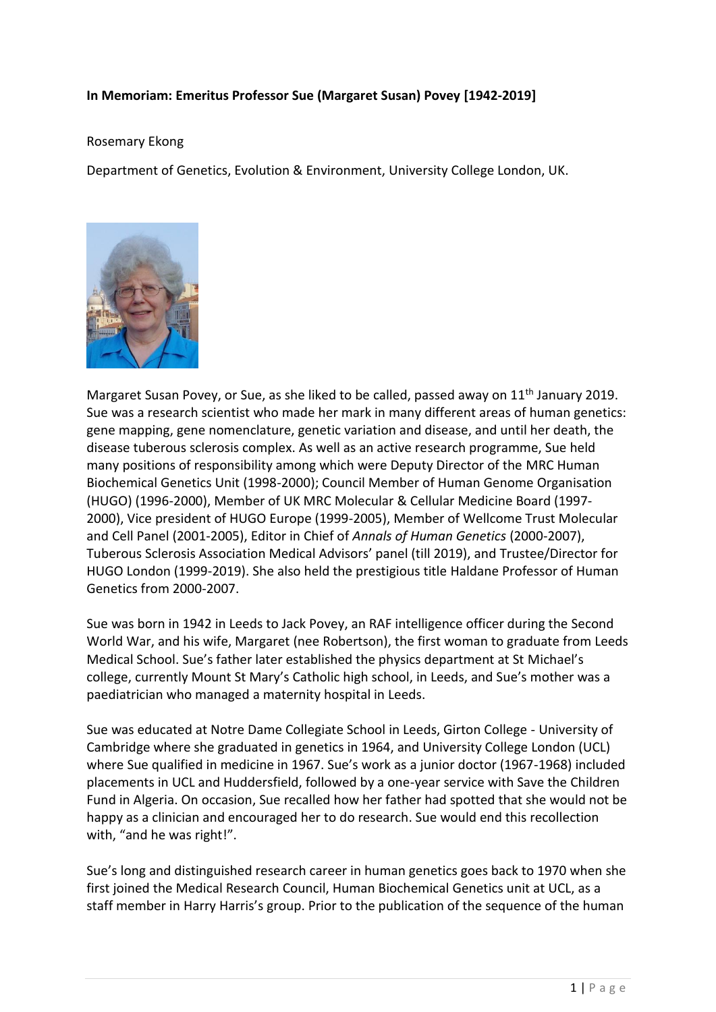## **In Memoriam: Emeritus Professor Sue (Margaret Susan) Povey [1942-2019]**

## Rosemary Ekong

Department of Genetics, Evolution & Environment, University College London, UK.



Margaret Susan Povey, or Sue, as she liked to be called, passed away on 11<sup>th</sup> January 2019. Sue was a research scientist who made her mark in many different areas of human genetics: gene mapping, gene nomenclature, genetic variation and disease, and until her death, the disease tuberous sclerosis complex. As well as an active research programme, Sue held many positions of responsibility among which were Deputy Director of the MRC Human Biochemical Genetics Unit (1998-2000); Council Member of Human Genome Organisation (HUGO) (1996-2000), Member of UK MRC Molecular & Cellular Medicine Board (1997- 2000), Vice president of HUGO Europe (1999-2005), Member of Wellcome Trust Molecular and Cell Panel (2001-2005), Editor in Chief of *Annals of Human Genetics* (2000-2007), Tuberous Sclerosis Association Medical Advisors' panel (till 2019), and Trustee/Director for HUGO London (1999-2019). She also held the prestigious title Haldane Professor of Human Genetics from 2000-2007.

Sue was born in 1942 in Leeds to Jack Povey, an RAF intelligence officer during the Second World War, and his wife, Margaret (nee Robertson), the first woman to graduate from Leeds Medical School. Sue's father later established the physics department at St Michael's college, currently Mount St Mary's Catholic high school, in Leeds, and Sue's mother was a paediatrician who managed a maternity hospital in Leeds.

Sue was educated at Notre Dame Collegiate School in Leeds, Girton College - University of Cambridge where she graduated in genetics in 1964, and University College London (UCL) where Sue qualified in medicine in 1967. Sue's work as a junior doctor (1967-1968) included placements in UCL and Huddersfield, followed by a one-year service with Save the Children Fund in Algeria. On occasion, Sue recalled how her father had spotted that she would not be happy as a clinician and encouraged her to do research. Sue would end this recollection with, "and he was right!".

Sue's long and distinguished research career in human genetics goes back to 1970 when she first joined the Medical Research Council, Human Biochemical Genetics unit at UCL, as a staff member in Harry Harris's group. Prior to the publication of the sequence of the human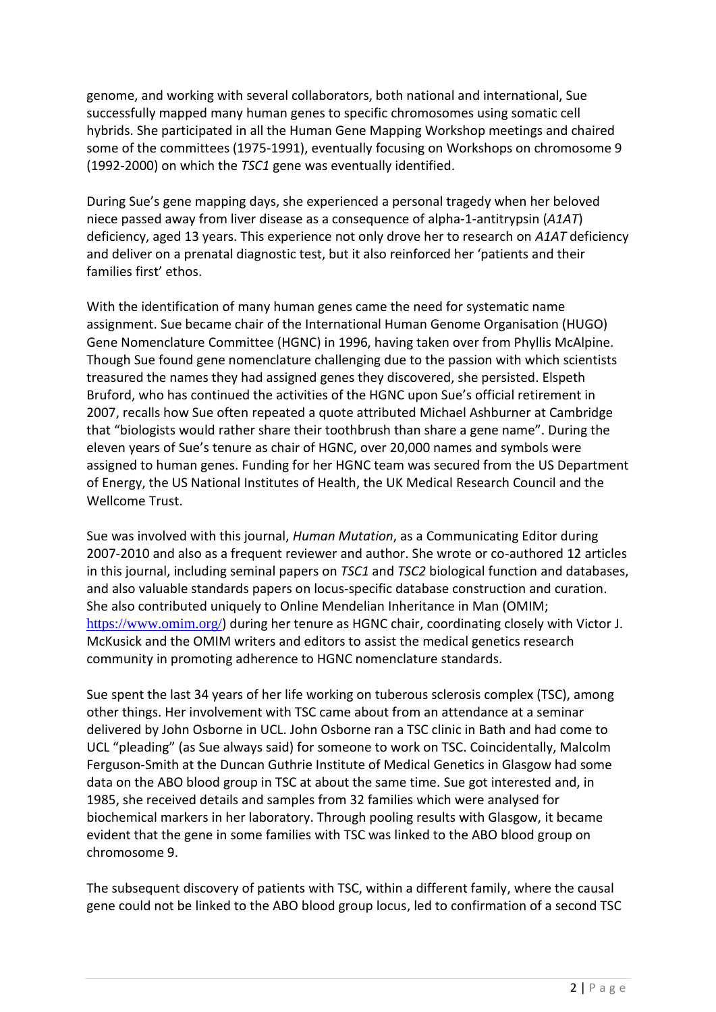genome, and working with several collaborators, both national and international, Sue successfully mapped many human genes to specific chromosomes using somatic cell hybrids. She participated in all the Human Gene Mapping Workshop meetings and chaired some of the committees (1975-1991), eventually focusing on Workshops on chromosome 9 (1992-2000) on which the *TSC1* gene was eventually identified.

During Sue's gene mapping days, she experienced a personal tragedy when her beloved niece passed away from liver disease as a consequence of alpha-1-antitrypsin (*A1AT*) deficiency, aged 13 years. This experience not only drove her to research on *A1AT* deficiency and deliver on a prenatal diagnostic test, but it also reinforced her 'patients and their families first' ethos.

With the identification of many human genes came the need for systematic name assignment. Sue became chair of the International Human Genome Organisation (HUGO) Gene Nomenclature Committee (HGNC) in 1996, having taken over from Phyllis McAlpine. Though Sue found gene nomenclature challenging due to the passion with which scientists treasured the names they had assigned genes they discovered, she persisted. Elspeth Bruford, who has continued the activities of the HGNC upon Sue's official retirement in 2007, recalls how Sue often repeated a quote attributed Michael Ashburner at Cambridge that "biologists would rather share their toothbrush than share a gene name". During the eleven years of Sue's tenure as chair of HGNC, over 20,000 names and symbols were assigned to human genes. Funding for her HGNC team was secured from the US Department of Energy, the US National Institutes of Health, the UK Medical Research Council and the Wellcome Trust.

Sue was involved with this journal, *Human Mutation*, as a Communicating Editor during 2007-2010 and also as a frequent reviewer and author. She wrote or co-authored 12 articles in this journal, including seminal papers on *TSC1* and *TSC2* biological function and databases, and also valuable standards papers on locus-specific database construction and curation. She also contributed uniquely to Online Mendelian Inheritance in Man (OMIM; <https://www.omim.org/>) during her tenure as HGNC chair, coordinating closely with Victor J. McKusick and the OMIM writers and editors to assist the medical genetics research community in promoting adherence to HGNC nomenclature standards.

Sue spent the last 34 years of her life working on tuberous sclerosis complex (TSC), among other things. Her involvement with TSC came about from an attendance at a seminar delivered by John Osborne in UCL. John Osborne ran a TSC clinic in Bath and had come to UCL "pleading" (as Sue always said) for someone to work on TSC. Coincidentally, Malcolm Ferguson-Smith at the Duncan Guthrie Institute of Medical Genetics in Glasgow had some data on the ABO blood group in TSC at about the same time. Sue got interested and, in 1985, she received details and samples from 32 families which were analysed for biochemical markers in her laboratory. Through pooling results with Glasgow, it became evident that the gene in some families with TSC was linked to the ABO blood group on chromosome 9.

The subsequent discovery of patients with TSC, within a different family, where the causal gene could not be linked to the ABO blood group locus, led to confirmation of a second TSC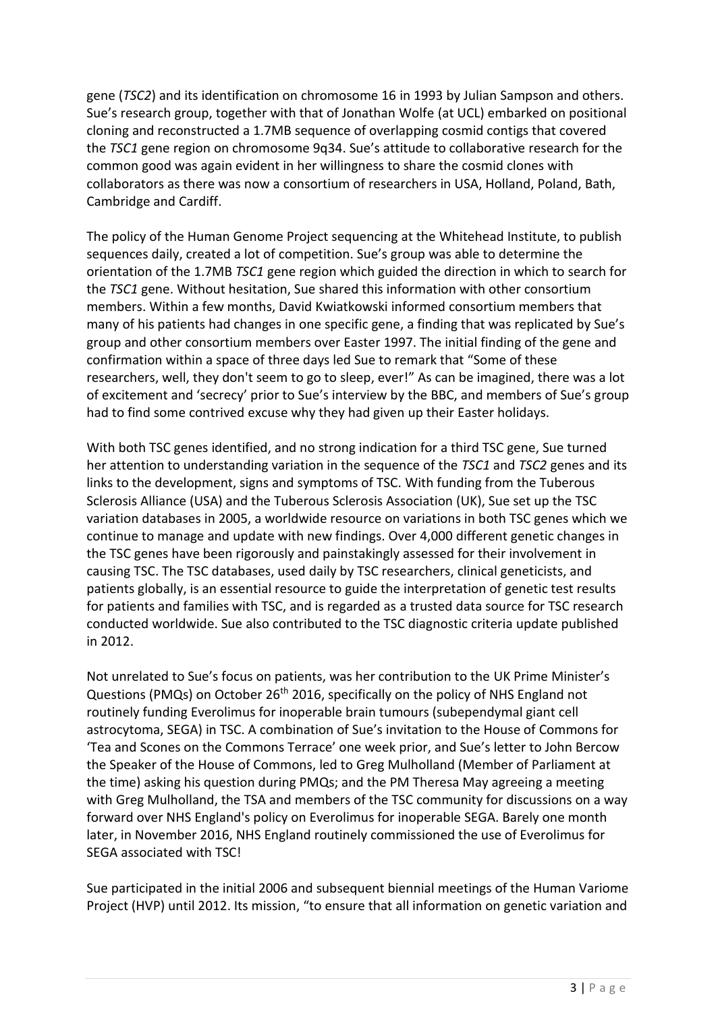gene (*TSC2*) and its identification on chromosome 16 in 1993 by Julian Sampson and others. Sue's research group, together with that of Jonathan Wolfe (at UCL) embarked on positional cloning and reconstructed a 1.7MB sequence of overlapping cosmid contigs that covered the *TSC1* gene region on chromosome 9q34. Sue's attitude to collaborative research for the common good was again evident in her willingness to share the cosmid clones with collaborators as there was now a consortium of researchers in USA, Holland, Poland, Bath, Cambridge and Cardiff.

The policy of the Human Genome Project sequencing at the Whitehead Institute, to publish sequences daily, created a lot of competition. Sue's group was able to determine the orientation of the 1.7MB *TSC1* gene region which guided the direction in which to search for the *TSC1* gene. Without hesitation, Sue shared this information with other consortium members. Within a few months, David Kwiatkowski informed consortium members that many of his patients had changes in one specific gene, a finding that was replicated by Sue's group and other consortium members over Easter 1997. The initial finding of the gene and confirmation within a space of three days led Sue to remark that "Some of these researchers, well, they don't seem to go to sleep, ever!" As can be imagined, there was a lot of excitement and 'secrecy' prior to Sue's interview by the BBC, and members of Sue's group had to find some contrived excuse why they had given up their Easter holidays.

With both TSC genes identified, and no strong indication for a third TSC gene, Sue turned her attention to understanding variation in the sequence of the *TSC1* and *TSC2* genes and its links to the development, signs and symptoms of TSC. With funding from the Tuberous Sclerosis Alliance (USA) and the Tuberous Sclerosis Association (UK), Sue set up the TSC variation databases in 2005, a worldwide resource on variations in both TSC genes which we continue to manage and update with new findings. Over 4,000 different genetic changes in the TSC genes have been rigorously and painstakingly assessed for their involvement in causing TSC. The TSC databases, used daily by TSC researchers, clinical geneticists, and patients globally, is an essential resource to guide the interpretation of genetic test results for patients and families with TSC, and is regarded as a trusted data source for TSC research conducted worldwide. Sue also contributed to the TSC diagnostic criteria update published in 2012.

Not unrelated to Sue's focus on patients, was her contribution to the UK Prime Minister's Questions (PMQs) on October 26<sup>th</sup> 2016, specifically on the policy of NHS England not routinely funding Everolimus for inoperable brain tumours (subependymal giant cell astrocytoma, SEGA) in TSC. A combination of Sue's invitation to the House of Commons for 'Tea and Scones on the Commons Terrace' one week prior, and Sue's letter to John Bercow the Speaker of the House of Commons, led to Greg Mulholland (Member of Parliament at the time) asking his question during PMQs; and the PM Theresa May agreeing a meeting with Greg Mulholland, the TSA and members of the TSC community for discussions on a way forward over NHS England's policy on Everolimus for inoperable SEGA. Barely one month later, in November 2016, NHS England routinely commissioned the use of Everolimus for SEGA associated with TSC!

Sue participated in the initial 2006 and subsequent biennial meetings of the Human Variome Project (HVP) until 2012. Its mission, "to ensure that all information on genetic variation and